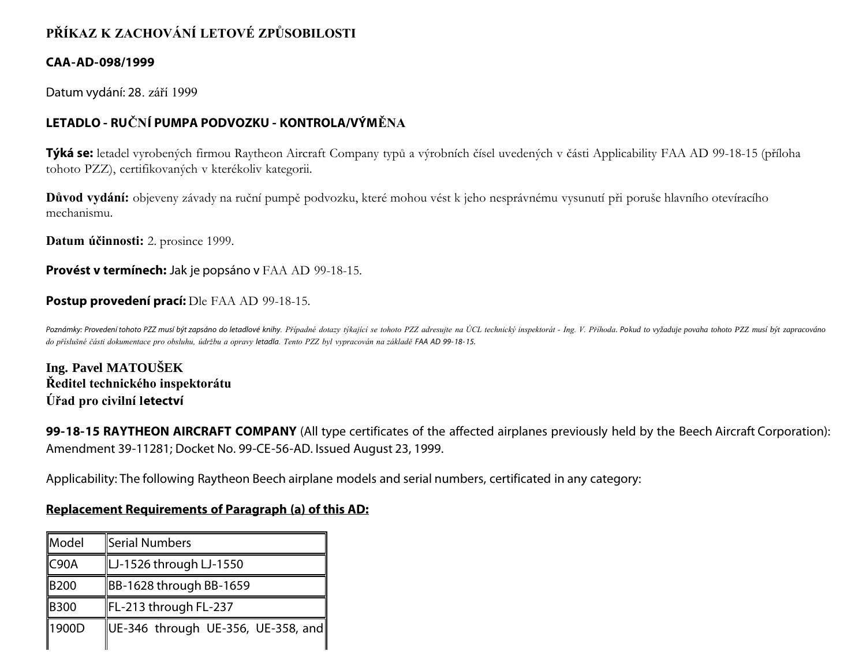# **PŘÍKAZ K ZACHOVÁNÍ LETOVÉ ZPŮSOBILOSTI**

#### **CAA-AD-098/1999**

Datum vydání: 28. září 1999

## **LETADLO - RUČNÍ PUMPA PODVOZKU - KONTROLA/VÝMĚNA**

**Týká se:** letadel vyrobených firmou Raytheon Aircraft Company typů a výrobních čísel uvedených v části Applicability FAA AD 99-18-15 (příloha tohoto PZZ), certifikovaných v kterékoliv kategorii.

**Důvod vydání:** objeveny závady na ruční pumpě podvozku, které mohou vést k jeho nesprávnému vysunutí při poruše hlavního otevíracího mechanismu.

**Datum účinnosti:** 2. prosince 1999.

#### **Provést v termínech:** Jak je popsáno v FAA AD 99-18-15.

#### **Postup provedení prací:** Dle FAA AD 99-18-15.

Poznámky: Provedení tohoto PZZ musí být zapsáno do letadlové knihy. Případné dotazy týkající se tohoto PZZ adresujte na ÚCL technický inspektorát - Ing. V. Příhoda. Pokud to vyžaduje povaha tohoto PZZ musí být zapracováno *do příslušné části dokumentace pro obsluhu, údržbu a opravy letadla. Tento PZZ byl vypracován na základě FAA AD 99- 18- 15.*

**Ing. Pavel MATOUŠEK Ředitel technického inspektorátu Úřad pro civilní letectví**

**99-18-15 RAYTHEON AIRCRAFT COMPANY** (All type certificates of the affected airplanes previously held by the Beech Aircraft Corporation): Amendment 39-11281; Docket No. 99-CE-56-AD. Issued August 23, 1999.

Applicability: The following Raytheon Beech airplane models and serial numbers, certificated in any category:

#### **Replacement Requirements of Paragraph (a) of this AD:**

| Model | Serial Numbers                                             |
|-------|------------------------------------------------------------|
| C90A  | LJ-1526 through LJ-1550                                    |
| B200  | BB-1628 through BB-1659                                    |
| B300  | FL-213 through FL-237                                      |
| 1900D | $\parallel$ UE-346 through UE-356, UE-358, and $\parallel$ |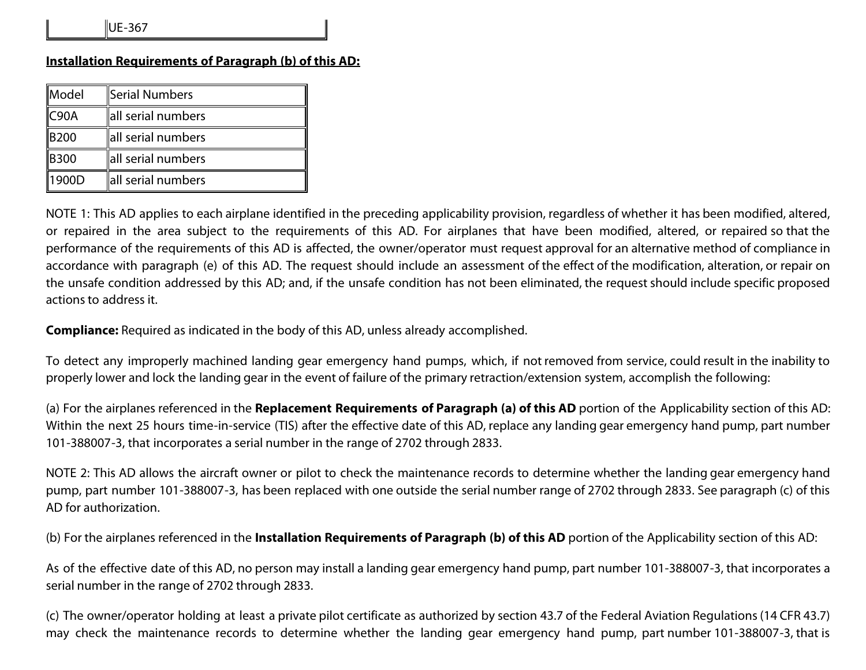### **Installation Requirements of Paragraph (b) of this AD:**

| Model         | Serial Numbers     |
|---------------|--------------------|
| COOA          | all serial numbers |
| <b>B200</b>   | all serial numbers |
| <b>B</b> 300  | all serial numbers |
| <b>I1900D</b> | all serial numbers |

NOTE 1: This AD applies to each airplane identified in the preceding applicability provision, regardless of whether it has been modified, altered, or repaired in the area subject to the requirements of this AD. For airplanes that have been modified, altered, or repaired so that the performance of the requirements of this AD is affected, the owner/operator must request approval for an alternative method of compliance in accordance with paragraph (e) of this AD. The request should include an assessment of the effect of the modification, alteration, or repair on the unsafe condition addressed by this AD; and, if the unsafe condition has not been eliminated, the request should include specific proposed actions to address it.

**Compliance:** Required as indicated in the body of this AD, unless already accomplished.

To detect any improperly machined landing gear emergency hand pumps, which, if not removed from service, could result in the inability to properly lower and lock the landing gear in the event of failure of the primary retraction/extension system, accomplish the following:

(a) For the airplanes referenced in the **Replacement Requirements of Paragraph (a) of this AD** portion of the Applicability section of this AD: Within the next 25 hours time-in-service (TIS) after the effective date of this AD, replace any landing gear emergency hand pump, part number 101-388007-3, that incorporates a serial number in the range of 2702 through 2833.

NOTE 2: This AD allows the aircraft owner or pilot to check the maintenance records to determine whether the landing gear emergency hand pump, part number 101-388007-3, has been replaced with one outside the serial number range of 2702 through 2833. See paragraph (c) of this AD for authorization.

(b) For the airplanes referenced in the **Installation Requirements of Paragraph (b) of this AD** portion of the Applicability section of this AD:

As of the effective date of this AD, no person may install a landing gear emergency hand pump, part number 101-388007-3, that incorporates a serial number in the range of 2702 through 2833.

(c) The owner/operator holding at least a private pilot certificate as authorized by section 43.7 of the Federal Aviation Regulations (14 CFR 43.7) may check the maintenance records to determine whether the landing gear emergency hand pump, part number 101-388007-3, that is